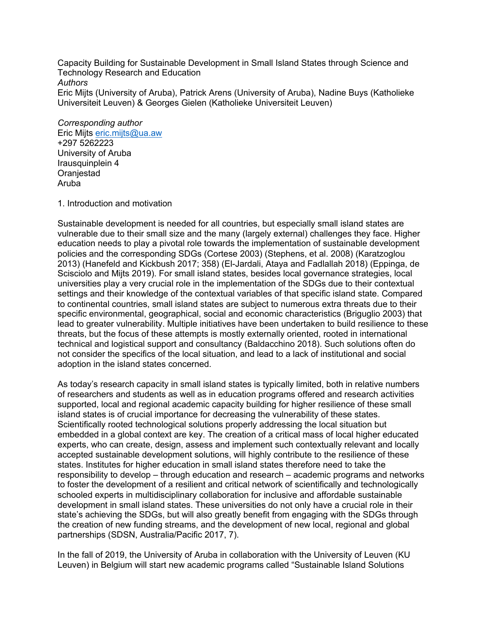Capacity Building for Sustainable Development in Small Island States through Science and Technology Research and Education *Authors*

Eric Mijts (University of Aruba), Patrick Arens (University of Aruba), Nadine Buys (Katholieke Universiteit Leuven) & Georges Gielen (Katholieke Universiteit Leuven)

*Corresponding author* Eric Mijts eric.mijts@ua.aw +297 5262223 University of Aruba Irausquinplein 4 **Oranjestad** Aruba

1. Introduction and motivation

Sustainable development is needed for all countries, but especially small island states are vulnerable due to their small size and the many (largely external) challenges they face. Higher education needs to play a pivotal role towards the implementation of sustainable development policies and the corresponding SDGs (Cortese 2003) (Stephens, et al. 2008) (Karatzoglou 2013) (Hanefeld and Kickbush 2017; 358) (El-Jardali, Ataya and Fadlallah 2018) (Eppinga, de Scisciolo and Mijts 2019). For small island states, besides local governance strategies, local universities play a very crucial role in the implementation of the SDGs due to their contextual settings and their knowledge of the contextual variables of that specific island state. Compared to continental countries, small island states are subject to numerous extra threats due to their specific environmental, geographical, social and economic characteristics (Briguglio 2003) that lead to greater vulnerability. Multiple initiatives have been undertaken to build resilience to these threats, but the focus of these attempts is mostly externally oriented, rooted in international technical and logistical support and consultancy (Baldacchino 2018). Such solutions often do not consider the specifics of the local situation, and lead to a lack of institutional and social adoption in the island states concerned.

As today's research capacity in small island states is typically limited, both in relative numbers of researchers and students as well as in education programs offered and research activities supported, local and regional academic capacity building for higher resilience of these small island states is of crucial importance for decreasing the vulnerability of these states. Scientifically rooted technological solutions properly addressing the local situation but embedded in a global context are key. The creation of a critical mass of local higher educated experts, who can create, design, assess and implement such contextually relevant and locally accepted sustainable development solutions, will highly contribute to the resilience of these states. Institutes for higher education in small island states therefore need to take the responsibility to develop – through education and research – academic programs and networks to foster the development of a resilient and critical network of scientifically and technologically schooled experts in multidisciplinary collaboration for inclusive and affordable sustainable development in small island states. These universities do not only have a crucial role in their state's achieving the SDGs, but will also greatly benefit from engaging with the SDGs through the creation of new funding streams, and the development of new local, regional and global partnerships (SDSN, Australia/Pacific 2017, 7).

In the fall of 2019, the University of Aruba in collaboration with the University of Leuven (KU Leuven) in Belgium will start new academic programs called "Sustainable Island Solutions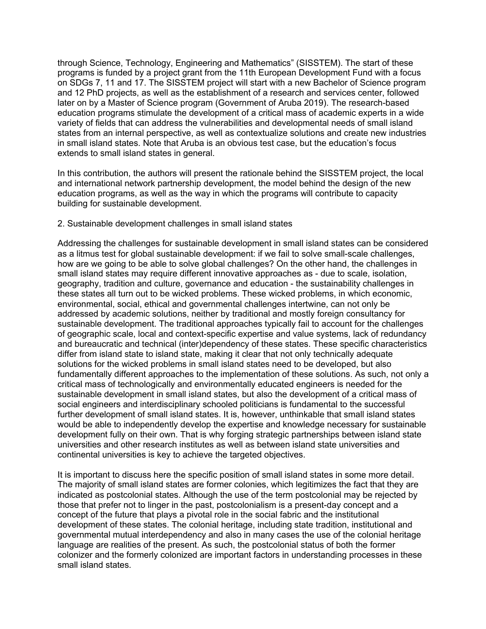through Science, Technology, Engineering and Mathematics" (SISSTEM). The start of these programs is funded by a project grant from the 11th European Development Fund with a focus on SDGs 7, 11 and 17. The SISSTEM project will start with a new Bachelor of Science program and 12 PhD projects, as well as the establishment of a research and services center, followed later on by a Master of Science program (Government of Aruba 2019). The research-based education programs stimulate the development of a critical mass of academic experts in a wide variety of fields that can address the vulnerabilities and developmental needs of small island states from an internal perspective, as well as contextualize solutions and create new industries in small island states. Note that Aruba is an obvious test case, but the education's focus extends to small island states in general.

In this contribution, the authors will present the rationale behind the SISSTEM project, the local and international network partnership development, the model behind the design of the new education programs, as well as the way in which the programs will contribute to capacity building for sustainable development.

## 2. Sustainable development challenges in small island states

Addressing the challenges for sustainable development in small island states can be considered as a litmus test for global sustainable development: if we fail to solve small-scale challenges, how are we going to be able to solve global challenges? On the other hand, the challenges in small island states may require different innovative approaches as - due to scale, isolation, geography, tradition and culture, governance and education - the sustainability challenges in these states all turn out to be wicked problems. These wicked problems, in which economic, environmental, social, ethical and governmental challenges intertwine, can not only be addressed by academic solutions, neither by traditional and mostly foreign consultancy for sustainable development. The traditional approaches typically fail to account for the challenges of geographic scale, local and context-specific expertise and value systems, lack of redundancy and bureaucratic and technical (inter)dependency of these states. These specific characteristics differ from island state to island state, making it clear that not only technically adequate solutions for the wicked problems in small island states need to be developed, but also fundamentally different approaches to the implementation of these solutions. As such, not only a critical mass of technologically and environmentally educated engineers is needed for the sustainable development in small island states, but also the development of a critical mass of social engineers and interdisciplinary schooled politicians is fundamental to the successful further development of small island states. It is, however, unthinkable that small island states would be able to independently develop the expertise and knowledge necessary for sustainable development fully on their own. That is why forging strategic partnerships between island state universities and other research institutes as well as between island state universities and continental universities is key to achieve the targeted objectives.

It is important to discuss here the specific position of small island states in some more detail. The majority of small island states are former colonies, which legitimizes the fact that they are indicated as postcolonial states. Although the use of the term postcolonial may be rejected by those that prefer not to linger in the past, postcolonialism is a present-day concept and a concept of the future that plays a pivotal role in the social fabric and the institutional development of these states. The colonial heritage, including state tradition, institutional and governmental mutual interdependency and also in many cases the use of the colonial heritage language are realities of the present. As such, the postcolonial status of both the former colonizer and the formerly colonized are important factors in understanding processes in these small island states.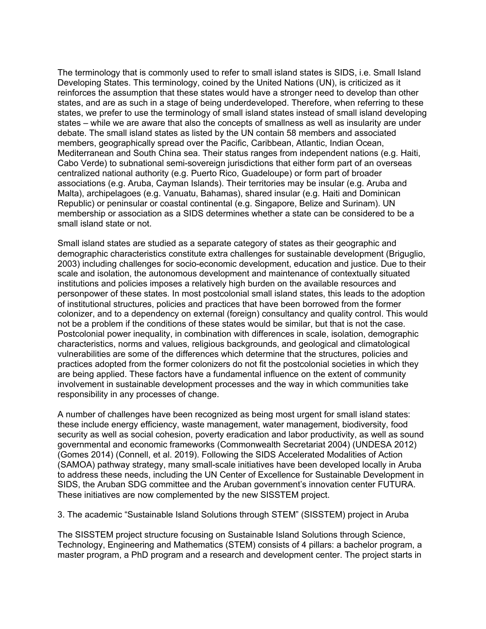The terminology that is commonly used to refer to small island states is SIDS, i.e. Small Island Developing States. This terminology, coined by the United Nations (UN), is criticized as it reinforces the assumption that these states would have a stronger need to develop than other states, and are as such in a stage of being underdeveloped. Therefore, when referring to these states, we prefer to use the terminology of small island states instead of small island developing states – while we are aware that also the concepts of smallness as well as insularity are under debate. The small island states as listed by the UN contain 58 members and associated members, geographically spread over the Pacific, Caribbean, Atlantic, Indian Ocean, Mediterranean and South China sea. Their status ranges from independent nations (e.g. Haiti, Cabo Verde) to subnational semi-sovereign jurisdictions that either form part of an overseas centralized national authority (e.g. Puerto Rico, Guadeloupe) or form part of broader associations (e.g. Aruba, Cayman Islands). Their territories may be insular (e.g. Aruba and Malta), archipelagoes (e.g. Vanuatu, Bahamas), shared insular (e.g. Haiti and Dominican Republic) or peninsular or coastal continental (e.g. Singapore, Belize and Surinam). UN membership or association as a SIDS determines whether a state can be considered to be a small island state or not.

Small island states are studied as a separate category of states as their geographic and demographic characteristics constitute extra challenges for sustainable development (Briguglio, 2003) including challenges for socio-economic development, education and justice. Due to their scale and isolation, the autonomous development and maintenance of contextually situated institutions and policies imposes a relatively high burden on the available resources and personpower of these states. In most postcolonial small island states, this leads to the adoption of institutional structures, policies and practices that have been borrowed from the former colonizer, and to a dependency on external (foreign) consultancy and quality control. This would not be a problem if the conditions of these states would be similar, but that is not the case. Postcolonial power inequality, in combination with differences in scale, isolation, demographic characteristics, norms and values, religious backgrounds, and geological and climatological vulnerabilities are some of the differences which determine that the structures, policies and practices adopted from the former colonizers do not fit the postcolonial societies in which they are being applied. These factors have a fundamental influence on the extent of community involvement in sustainable development processes and the way in which communities take responsibility in any processes of change.

A number of challenges have been recognized as being most urgent for small island states: these include energy efficiency, waste management, water management, biodiversity, food security as well as social cohesion, poverty eradication and labor productivity, as well as sound governmental and economic frameworks (Commonwealth Secretariat 2004) (UNDESA 2012) (Gomes 2014) (Connell, et al. 2019). Following the SIDS Accelerated Modalities of Action (SAMOA) pathway strategy, many small-scale initiatives have been developed locally in Aruba to address these needs, including the UN Center of Excellence for Sustainable Development in SIDS, the Aruban SDG committee and the Aruban government's innovation center FUTURA. These initiatives are now complemented by the new SISSTEM project.

3. The academic "Sustainable Island Solutions through STEM" (SISSTEM) project in Aruba

The SISSTEM project structure focusing on Sustainable Island Solutions through Science, Technology, Engineering and Mathematics (STEM) consists of 4 pillars: a bachelor program, a master program, a PhD program and a research and development center. The project starts in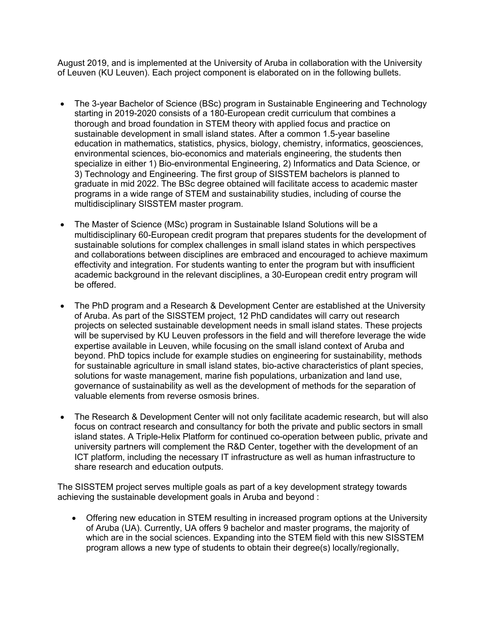August 2019, and is implemented at the University of Aruba in collaboration with the University of Leuven (KU Leuven). Each project component is elaborated on in the following bullets.

- The 3-year Bachelor of Science (BSc) program in Sustainable Engineering and Technology starting in 2019-2020 consists of a 180-European credit curriculum that combines a thorough and broad foundation in STEM theory with applied focus and practice on sustainable development in small island states. After a common 1.5-year baseline education in mathematics, statistics, physics, biology, chemistry, informatics, geosciences, environmental sciences, bio-economics and materials engineering, the students then specialize in either 1) Bio-environmental Engineering, 2) Informatics and Data Science, or 3) Technology and Engineering. The first group of SISSTEM bachelors is planned to graduate in mid 2022. The BSc degree obtained will facilitate access to academic master programs in a wide range of STEM and sustainability studies, including of course the multidisciplinary SISSTEM master program.
- The Master of Science (MSc) program in Sustainable Island Solutions will be a multidisciplinary 60-European credit program that prepares students for the development of sustainable solutions for complex challenges in small island states in which perspectives and collaborations between disciplines are embraced and encouraged to achieve maximum effectivity and integration. For students wanting to enter the program but with insufficient academic background in the relevant disciplines, a 30-European credit entry program will be offered.
- The PhD program and a Research & Development Center are established at the University of Aruba. As part of the SISSTEM project, 12 PhD candidates will carry out research projects on selected sustainable development needs in small island states. These projects will be supervised by KU Leuven professors in the field and will therefore leverage the wide expertise available in Leuven, while focusing on the small island context of Aruba and beyond. PhD topics include for example studies on engineering for sustainability, methods for sustainable agriculture in small island states, bio-active characteristics of plant species, solutions for waste management, marine fish populations, urbanization and land use, governance of sustainability as well as the development of methods for the separation of valuable elements from reverse osmosis brines.
- The Research & Development Center will not only facilitate academic research, but will also focus on contract research and consultancy for both the private and public sectors in small island states. A Triple-Helix Platform for continued co-operation between public, private and university partners will complement the R&D Center, together with the development of an ICT platform, including the necessary IT infrastructure as well as human infrastructure to share research and education outputs.

The SISSTEM project serves multiple goals as part of a key development strategy towards achieving the sustainable development goals in Aruba and beyond :

• Offering new education in STEM resulting in increased program options at the University of Aruba (UA). Currently, UA offers 9 bachelor and master programs, the majority of which are in the social sciences. Expanding into the STEM field with this new SISSTEM program allows a new type of students to obtain their degree(s) locally/regionally,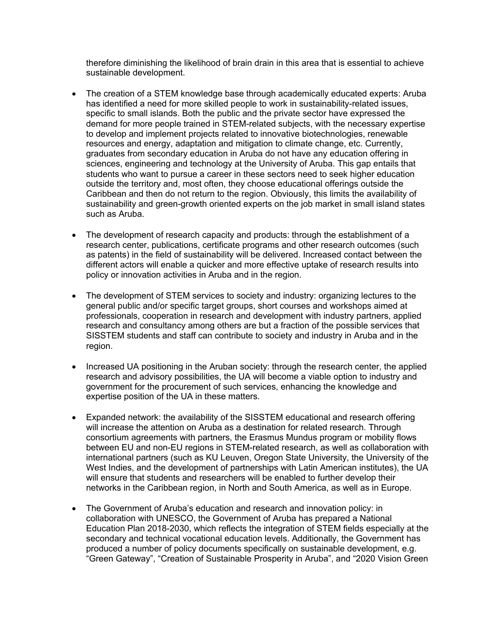therefore diminishing the likelihood of brain drain in this area that is essential to achieve sustainable development.

- The creation of a STEM knowledge base through academically educated experts: Aruba has identified a need for more skilled people to work in sustainability-related issues, specific to small islands. Both the public and the private sector have expressed the demand for more people trained in STEM-related subjects, with the necessary expertise to develop and implement projects related to innovative biotechnologies, renewable resources and energy, adaptation and mitigation to climate change, etc. Currently, graduates from secondary education in Aruba do not have any education offering in sciences, engineering and technology at the University of Aruba. This gap entails that students who want to pursue a career in these sectors need to seek higher education outside the territory and, most often, they choose educational offerings outside the Caribbean and then do not return to the region. Obviously, this limits the availability of sustainability and green-growth oriented experts on the job market in small island states such as Aruba.
- The development of research capacity and products: through the establishment of a research center, publications, certificate programs and other research outcomes (such as patents) in the field of sustainability will be delivered. Increased contact between the different actors will enable a quicker and more effective uptake of research results into policy or innovation activities in Aruba and in the region.
- The development of STEM services to society and industry: organizing lectures to the general public and/or specific target groups, short courses and workshops aimed at professionals, cooperation in research and development with industry partners, applied research and consultancy among others are but a fraction of the possible services that SISSTEM students and staff can contribute to society and industry in Aruba and in the region.
- Increased UA positioning in the Aruban society: through the research center, the applied research and advisory possibilities, the UA will become a viable option to industry and government for the procurement of such services, enhancing the knowledge and expertise position of the UA in these matters.
- Expanded network: the availability of the SISSTEM educational and research offering will increase the attention on Aruba as a destination for related research. Through consortium agreements with partners, the Erasmus Mundus program or mobility flows between EU and non-EU regions in STEM-related research, as well as collaboration with international partners (such as KU Leuven, Oregon State University, the University of the West Indies, and the development of partnerships with Latin American institutes), the UA will ensure that students and researchers will be enabled to further develop their networks in the Caribbean region, in North and South America, as well as in Europe.
- The Government of Aruba's education and research and innovation policy: in collaboration with UNESCO, the Government of Aruba has prepared a National Education Plan 2018-2030, which reflects the integration of STEM fields especially at the secondary and technical vocational education levels. Additionally, the Government has produced a number of policy documents specifically on sustainable development, e.g. "Green Gateway", "Creation of Sustainable Prosperity in Aruba", and "2020 Vision Green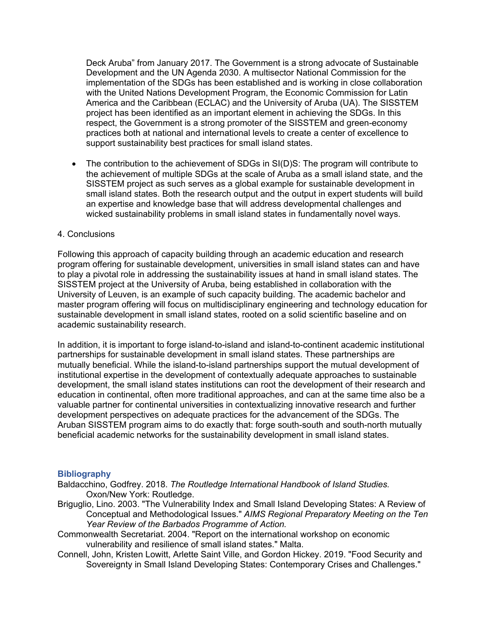Deck Aruba" from January 2017. The Government is a strong advocate of Sustainable Development and the UN Agenda 2030. A multisector National Commission for the implementation of the SDGs has been established and is working in close collaboration with the United Nations Development Program, the Economic Commission for Latin America and the Caribbean (ECLAC) and the University of Aruba (UA). The SISSTEM project has been identified as an important element in achieving the SDGs. In this respect, the Government is a strong promoter of the SISSTEM and green-economy practices both at national and international levels to create a center of excellence to support sustainability best practices for small island states.

• The contribution to the achievement of SDGs in SI(D)S: The program will contribute to the achievement of multiple SDGs at the scale of Aruba as a small island state, and the SISSTEM project as such serves as a global example for sustainable development in small island states. Both the research output and the output in expert students will build an expertise and knowledge base that will address developmental challenges and wicked sustainability problems in small island states in fundamentally novel ways.

## 4. Conclusions

Following this approach of capacity building through an academic education and research program offering for sustainable development, universities in small island states can and have to play a pivotal role in addressing the sustainability issues at hand in small island states. The SISSTEM project at the University of Aruba, being established in collaboration with the University of Leuven, is an example of such capacity building. The academic bachelor and master program offering will focus on multidisciplinary engineering and technology education for sustainable development in small island states, rooted on a solid scientific baseline and on academic sustainability research.

In addition, it is important to forge island-to-island and island-to-continent academic institutional partnerships for sustainable development in small island states. These partnerships are mutually beneficial. While the island-to-island partnerships support the mutual development of institutional expertise in the development of contextually adequate approaches to sustainable development, the small island states institutions can root the development of their research and education in continental, often more traditional approaches, and can at the same time also be a valuable partner for continental universities in contextualizing innovative research and further development perspectives on adequate practices for the advancement of the SDGs. The Aruban SISSTEM program aims to do exactly that: forge south-south and south-north mutually beneficial academic networks for the sustainability development in small island states.

## **Bibliography**

- Baldacchino, Godfrey. 2018. *The Routledge International Handbook of Island Studies.* Oxon/New York: Routledge.
- Briguglio, Lino. 2003. "The Vulnerability Index and Small Island Developing States: A Review of Conceptual and Methodological Issues." *AIMS Regional Preparatory Meeting on the Ten Year Review of the Barbados Programme of Action.*
- Commonwealth Secretariat. 2004. "Report on the international workshop on economic vulnerability and resilience of small island states." Malta.
- Connell, John, Kristen Lowitt, Arlette Saint Ville, and Gordon Hickey. 2019. "Food Security and Sovereignty in Small Island Developing States: Contemporary Crises and Challenges."